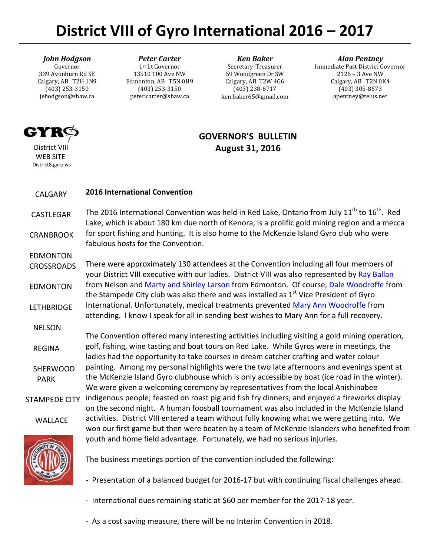# **District VIII of Gyro International 2016 – 2017**

# *John Hodgson*

Governor 339 Avonburn Rd SE Calgary, AB T2H 1N9 (403) 253-3150 jehodgson@shaw.ca

#### *Peter Carter* 1st Lt Governor 13510 100 Ave NW Edmonton, AB T5N 0H9 (403) 253-3150 peter.carter@shaw.ca

*Ken Baker* Secretary-Treasurer 59 Woodgreen Dr SW Calgary, AB T2W 4G6 (403) 238-6717 ken.baker65@gmail.com

### *Alan Pentney*

Immediate Past District Governor 2126 – 3 Ave NW Calgary, AB T2N 0K4 (403) 305-8573 apentney@telus.net

# GYT.

 District VIII WEB SITE District8.gyro.ws

EDMONTON

# **GOVERNOR'S BULLETIN August 31, 2016**

#### CALGARY **2016 International Convention**

 CASTLEGAR CRANBROOK The 2016 International Convention was held in Red Lake, Ontario from July  $11^{th}$  to  $16^{th}$ . Red Lake, which is about 180 km due north of Kenora, is a prolific gold mining region and a mecca for sport fishing and hunting. It is also home to the McKenzie Island Gyro club who were fabulous hosts for the Convention.

 CROSSROADS EDMONTON LETHBRIDGE There were approximately 130 attendees at the Convention including all four members of your District VIII executive with our ladies. District VIII was also represented by Ray Ballan from Nelson and Marty and Shirley Larson from Edmonton. Of course, Dale Woodroffe from the Stampede City club was also there and was installed as  $1<sup>st</sup>$  Vice President of Gyro International. Unfortunately, medical treatments prevented Mary Ann Woodroffe from attending. I know I speak for all in sending best wishes to Mary Ann for a full recovery.

 NELSON REGINA SHERWOOD PARK The Convention offered many interesting activities including visiting a gold mining operation, golf, fishing, wine tasting and boat tours on Red Lake. While Gyros were in meetings, the ladies had the opportunity to take courses in dream catcher crafting and water colour painting. Among my personal highlights were the two late afternoons and evenings spent at the McKenzie Island Gyro clubhouse which is only accessible by boat (ice road in the winter). We were given a welcoming ceremony by representatives from the local Anishinabee

STAMPEDE CITY

WALLACE

on the second night. A human foosball tournament was also included in the McKenzie Island activities. District VIII entered a team without fully knowing what we were getting into. We won our first game but then were beaten by a team of McKenzie Islanders who benefited from youth and home field advantage. Fortunately, we had no serious injuries.

indigenous people; feasted on roast pig and fish fry dinners; and enjoyed a fireworks display



The business meetings portion of the convention included the following:

- Presentation of a balanced budget for 2016-17 but with continuing fiscal challenges ahead.

- International dues remaining static at \$60 per member for the 2017-18 year.
- As a cost saving measure, there will be no Interim Convention in 2018.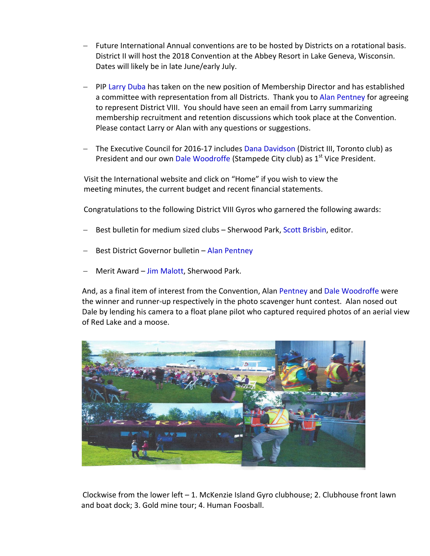- Future International Annual conventions are to be hosted by Districts on a rotational basis. District II will host the 2018 Convention at the Abbey Resort in Lake Geneva, Wisconsin. Dates will likely be in late June/early July.
- PIP Larry Duba has taken on the new position of Membership Director and has established a committee with representation from all Districts. Thank you to Alan Pentney for agreeing to represent District VIII. You should have seen an email from Larry summarizing membership recruitment and retention discussions which took place at the Convention. Please contact Larry or Alan with any questions or suggestions.
- The Executive Council for 2016-17 includes Dana Davidson (District III, Toronto club) as President and our own Dale Woodroffe (Stampede City club) as 1<sup>st</sup> Vice President.

Visit the International website and click on "Home" if you wish to view the meeting minutes, the current budget and recent financial statements.

Congratulations to the following District VIII Gyros who garnered the following awards:

- Best bulletin for medium sized clubs Sherwood Park, Scott Brisbin, editor.
- Best District Governor bulletin Alan Pentney
- Merit Award Jim Malott, Sherwood Park.

And, as a final item of interest from the Convention, Alan Pentney and Dale Woodroffe were the winner and runner-up respectively in the photo scavenger hunt contest. Alan nosed out Dale by lending his camera to a float plane pilot who captured required photos of an aerial view of Red Lake and a moose.



Clockwise from the lower left  $-1$ . McKenzie Island Gyro clubhouse; 2. Clubhouse front lawn and boat dock; 3. Gold mine tour; 4. Human Foosball.